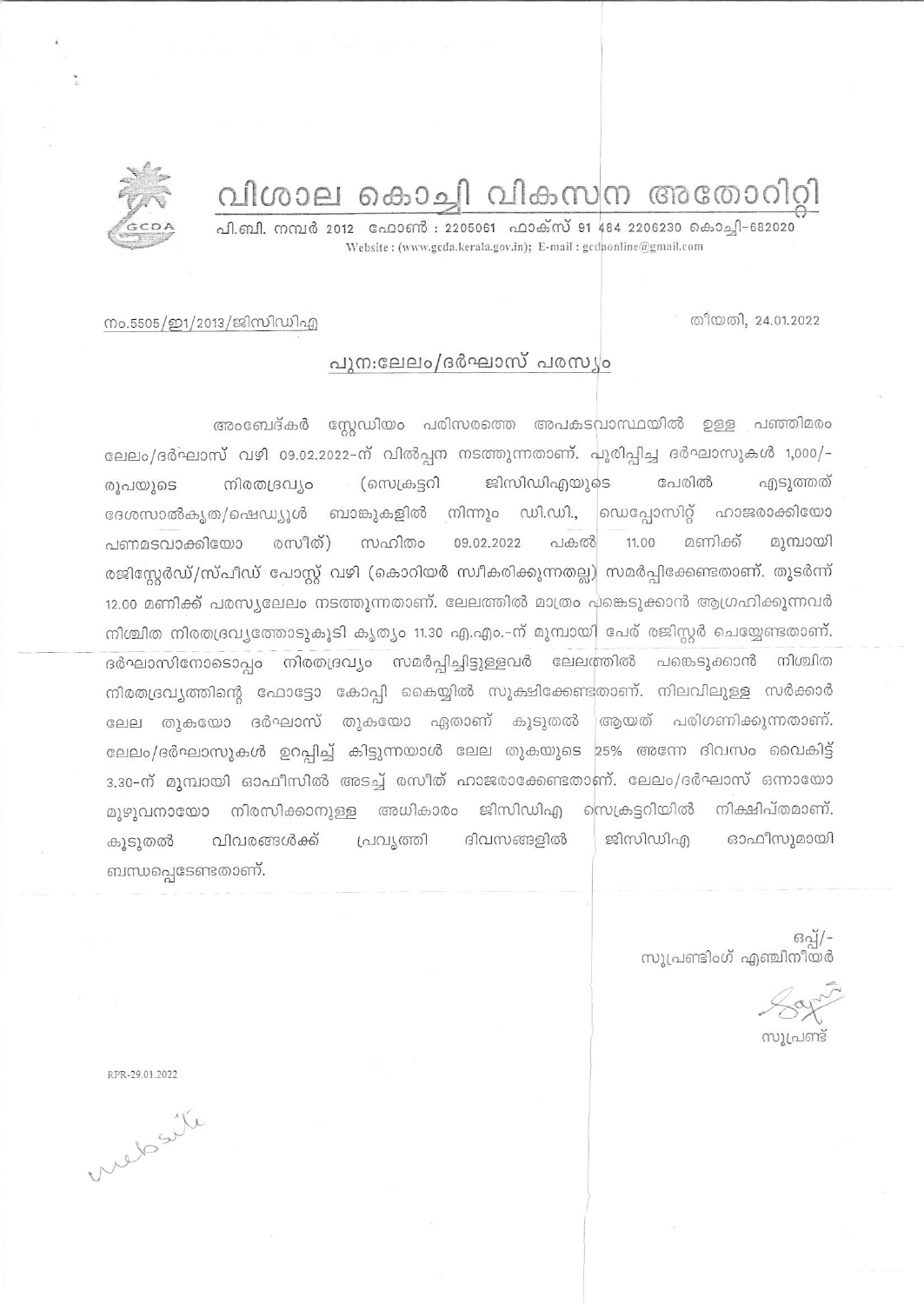# വിശാല കൊച്ചി വികസന അതോറിറ്റി

പി.ബി. നമ്പർ 2012 ഫോൺ : 2205061 ഫാക്സ് 91 484 2206230 കൊചി-682020 Website: (www.gcda.kerala.gov.in); E-mail: gcdaonline@gmail.com



### നം.5505/ഇ1/2013/ജിസിഡിഎ

# പുനഃലേലം/ദർഘാസ് പരസ്യം

അംബേദ്കർ സ്റ്റേഡിയം പരിസരത്തെ അപകടവാസ്ഥയിൽ ഉള്ള പഞ്ഞിമരം ലേലം/ദർഘാസ് വഴി 09.02.2022-ന് വിൽപ്പന നടത്തുന്നതാണ്. പൂരിപ്പിച്ച ദർഘാസുകൾ 1,000/-ജിസിഡിഎയുടെ പേരിൽ ് (സെക്രട്ടറി എടുത്തത് രൂപയൂടെ നിരതദ്രവ്യം ദേശസാൽകൃത/പ്പെഡ്യൂൾ ബാങ്കുകളിൽ നിന്നും ഡി.ഡി., <u>လောင်္ကေ</u>တာကို ഹാജരാക്കിയോ രസീത്) സഹിതം 09.02.2022 പകൽ 11.00 മണിക്ക് മുമ്പായി പണമടവാക്കിയോ രജിസ്റ്റേർഡ്/സ്പീഡ് പോസ്റ്റ് വഴി (കൊറിയർ സ്വീകരിക്കുന്നതല്ല) സമർപ്പിക്കേണ്ടതാണ്. തുടർന്ന് 12.00 മണിക്ക് പരസ്യലേലം നടത്തുന്നതാണ്. ലേലത്തിൽ മാത്രം പങ്കെടുക്കാൻ ആഗ്രഹിക്കുന്നവർ നിശ്ചിത നിരതദ്രവ്യത്തോടുകൂടി കൃത്യം 11.30 എ.എം.-ന് മുമ്പായി പേര് രജിസ്റ്റർ ചെയ്യേണ്ടതാണ്. ദർഘാസിനോടൊപ്പം നിരതദ്രവ്യം സമർപ്പിച്ചിട്ടുള്ളവർ ലേലത്തിൽ പങ്കെടുക്കാൻ നിശ്ചിത നിരതദ്രവ്യത്തിന്റെ ഫോട്ടോ കോപ്പി കൈയ്യിൽ സൂക്ഷിക്കേണ്ടതാണ്. നിലവിലുള്ള സർക്കാർ ലേല തുകയോ ദർഘാസ് തുകയോ ഏതാണ് കൂടുതൽ ് ആയത് പരിഗണിക്കുന്നതാണ്. ലേലം/ദർഘാസുകൾ ഉറപ്പിച്ച് കിട്ടുന്നയാൾ ലേല തുകയുടെ 25% അന്നേ ദിവസം വൈകിട്ട് 3.30-ന് മുമ്പായി ഓഫീസിൽ അടച്ച് രസീത് ഹാജരാക്കേണ്ടതാണ്. ലേലം/ദർഘാസ് ഒന്നായോ നിക്ഷിപ്തമാണ്. മുഴുവനായോ നിരസിക്കാനുള്ള അധികാരം ജിസിഡിഎ സ്രെക്ട്രറിയിൽ വിവരങ്ങൾക്ക് പ്രവൃത്തി ദിവസങ്ങളിൽ ജിസിഡിഎ ഓഫീസുമായി കൂടുതൽ ബന്ധപ്പെടേണ്ടതാണ്.

-/[ഗ്ല<br>സൂപ്രണ്ടിംഗ് എഞ്ചിനീയർ

സൂപ്രണ്ട്

RPR-29.01.2022

metasite